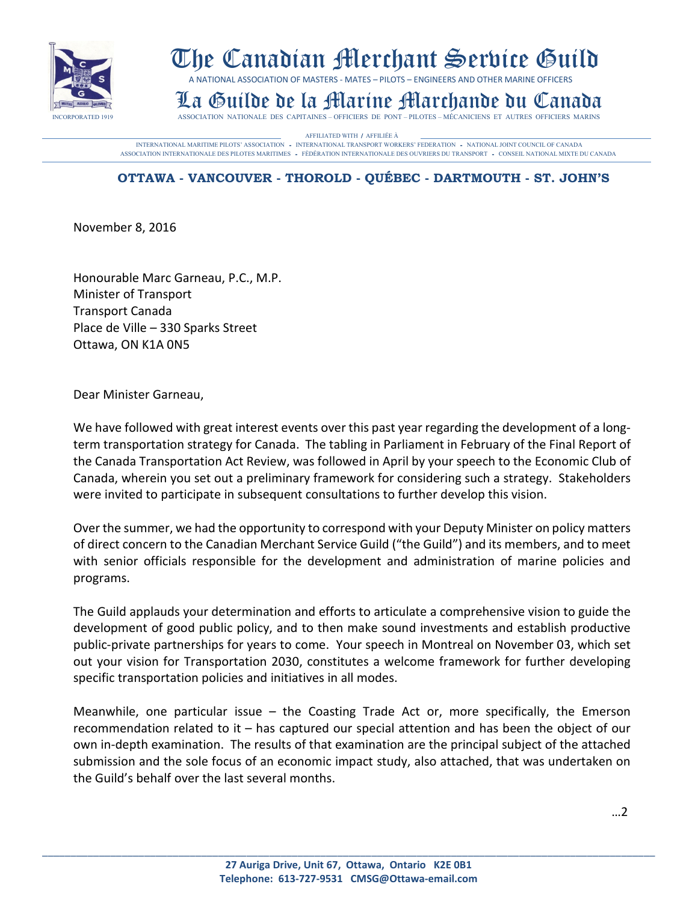

## The Canadian Merchant Service Guild

A NATIONAL ASSOCIATION OF MASTERS - MATES – PILOTS – ENGINEERS AND OTHER MARINE OFFICERS

## La Guilde de la Martine Marchande Du Canada<br>Insociation nationale des capitaines-officiers de pont-pilotes-mécaniciens et autres officiers marins

AFFILIATED WITH / AFFILIÉE À **CONSTANT AUGUST AUGUST** AFFILIÈRE À **CONSTANT AUGUST AN AFFILIATED WITH / AFFILIÉE À CONSTANT AUGUST AN AFFILIÈRE À L'ANNE AUGUST AUGUST AUGUST AUGUST AUGUST AUGUST AUGUST AUGUST AUGUST AUGU** ASSOCIATION INTERNATIONALE DES PILOTES MARITIMES - FÈDÉRATION INTERNATIONALE DES OUVRIERS DU TRANSPORT - CONSEIL NATIONAL MIXTE DU CANADA

## **OTTAWA - VANCOUVER - THOROLD - QUÉBEC - DARTMOUTH - ST. JOHN'S**

November 8, 2016

Honourable Marc Garneau, P.C., M.P. Minister of Transport Transport Canada Place de Ville – 330 Sparks Street Ottawa, ON K1A 0N5

Dear Minister Garneau,

We have followed with great interest events over this past year regarding the development of a longterm transportation strategy for Canada. The tabling in Parliament in February of the Final Report of the Canada Transportation Act Review, was followed in April by your speech to the Economic Club of Canada, wherein you set out a preliminary framework for considering such a strategy. Stakeholders were invited to participate in subsequent consultations to further develop this vision.

Over the summer, we had the opportunity to correspond with your Deputy Minister on policy matters of direct concern to the Canadian Merchant Service Guild ("the Guild") and its members, and to meet with senior officials responsible for the development and administration of marine policies and programs.

The Guild applauds your determination and efforts to articulate a comprehensive vision to guide the development of good public policy, and to then make sound investments and establish productive public-private partnerships for years to come. Your speech in Montreal on November 03, which set out your vision for Transportation 2030, constitutes a welcome framework for further developing specific transportation policies and initiatives in all modes.

Meanwhile, one particular issue  $-$  the Coasting Trade Act or, more specifically, the Emerson recommendation related to it – has captured our special attention and has been the object of our own in-depth examination. The results of that examination are the principal subject of the attached submission and the sole focus of an economic impact study, also attached, that was undertaken on the Guild's behalf over the last several months.